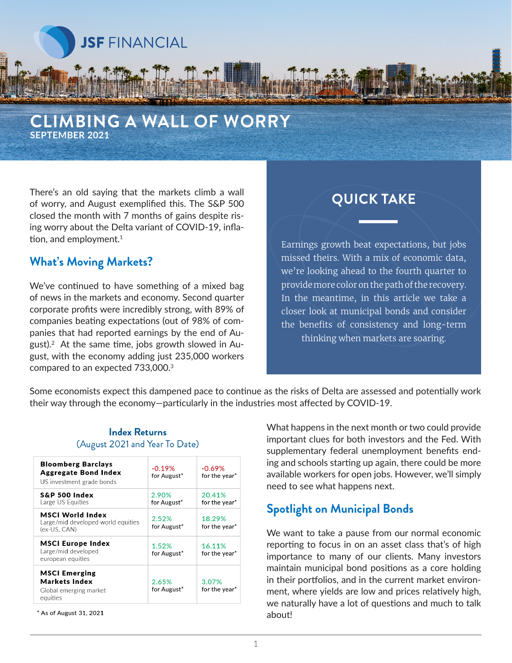

#### **CLIMBING A WALL OF WORRY SEPTEMBER 2021**

There's an old saying that the markets climb a wall of worry, and August exemplified this. The S&P 500 closed the month with 7 months of gains despite rising worry about the Delta variant of COVID-19, inflation, and employment.<sup>1</sup>

#### **What's Moving Markets?**

We've continued to have something of a mixed bag of news in the markets and economy. Second quarter corporate profits were incredibly strong, with 89% of companies beating expectations (out of 98% of companies that had reported earnings by the end of August).<sup>2</sup> At the same time, jobs growth slowed in August, with the economy adding just 235,000 workers compared to an expected 733,000.3

# **QUICK TAKE**

Earnings growth beat expectations, but jobs missed theirs. With a mix of economic data, we're looking ahead to the fourth quarter to provide more color on the path of the recovery. In the meantime, in this article we take a closer look at municipal bonds and consider the benefits of consistency and long-term thinking when markets are soaring.

Some economists expect this dampened pace to continue as the risks of Delta are assessed and potentially work their way through the economy—particularly in the industries most affected by COVID-19.

| <b>Bloomberg Barclays</b><br><b>Aggregate Bond Index</b><br>US investment grade bonds | $-0.19%$<br>for August* | $-0.69%$<br>for the year* |
|---------------------------------------------------------------------------------------|-------------------------|---------------------------|
| <b>S&amp;P 500 Index</b><br>Large US Equities                                         | 2.90%<br>for August*    | 20.41%<br>for the year*   |
| <b>MSCI World Index</b><br>Large/mid developed world equities<br>(ex-US, CAN)         | 2.52%<br>for August*    | 18.29%<br>for the year*   |
| <b>MSCI Europe Index</b><br>Large/mid developed<br>european equities                  | 1.52%<br>for August*    | 16.11%<br>for the year*   |
| <b>MSCI Emerging</b><br><b>Markets Index</b><br>Global emerging market<br>equities    | 2.65%<br>for August*    | 3.07%<br>for the year*    |

#### **Index Returns** (August 2021 and Year To Date)

\* As of August 31, 2021

What happens in the next month or two could provide important clues for both investors and the Fed. With supplementary federal unemployment benefits ending and schools starting up again, there could be more available workers for open jobs. However, we'll simply need to see what happens next.

### **Spotlight on Municipal Bonds**

We want to take a pause from our normal economic reporting to focus in on an asset class that's of high importance to many of our clients. Many investors maintain municipal bond positions as a core holding in their portfolios, and in the current market environment, where yields are low and prices relatively high, we naturally have a lot of questions and much to talk about!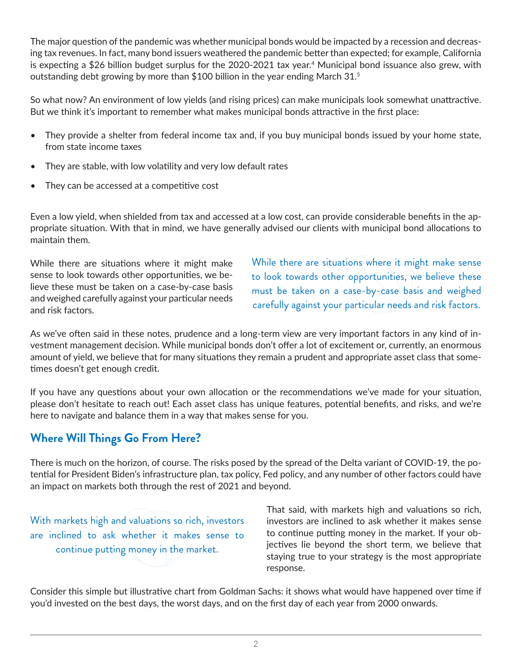The major question of the pandemic was whether municipal bonds would be impacted by a recession and decreasing tax revenues. In fact, many bond issuers weathered the pandemic better than expected; for example, California is expecting a \$26 billion budget surplus for the 2020-2021 tax year.4 Municipal bond issuance also grew, with outstanding debt growing by more than \$100 billion in the year ending March  $31<sup>5</sup>$ 

So what now? An environment of low yields (and rising prices) can make municipals look somewhat unattractive. But we think it's important to remember what makes municipal bonds attractive in the first place:

- They provide a shelter from federal income tax and, if you buy municipal bonds issued by your home state, from state income taxes
- They are stable, with low volatility and very low default rates
- They can be accessed at a competitive cost

Even a low yield, when shielded from tax and accessed at a low cost, can provide considerable benefits in the appropriate situation. With that in mind, we have generally advised our clients with municipal bond allocations to maintain them.

While there are situations where it might make sense to look towards other opportunities, we believe these must be taken on a case-by-case basis and weighed carefully against your particular needs and risk factors.

While there are situations where it might make sense to look towards other opportunities, we believe these must be taken on a case-by-case basis and weighed carefully against your particular needs and risk factors.

As we've often said in these notes, prudence and a long-term view are very important factors in any kind of investment management decision. While municipal bonds don't offer a lot of excitement or, currently, an enormous amount of yield, we believe that for many situations they remain a prudent and appropriate asset class that sometimes doesn't get enough credit.

If you have any questions about your own allocation or the recommendations we've made for your situation, please don't hesitate to reach out! Each asset class has unique features, potential benefits, and risks, and we're here to navigate and balance them in a way that makes sense for you.

# **Where Will Things Go From Here?**

There is much on the horizon, of course. The risks posed by the spread of the Delta variant of COVID-19, the potential for President Biden's infrastructure plan, tax policy, Fed policy, and any number of other factors could have an impact on markets both through the rest of 2021 and beyond.

With markets high and valuations so rich, investors are inclined to ask whether it makes sense to continue putting money in the market.

That said, with markets high and valuations so rich, investors are inclined to ask whether it makes sense to continue putting money in the market. If your objectives lie beyond the short term, we believe that staying true to your strategy is the most appropriate response.

Consider this simple but illustrative chart from Goldman Sachs: it shows what would have happened over time if you'd invested on the best days, the worst days, and on the first day of each year from 2000 onwards.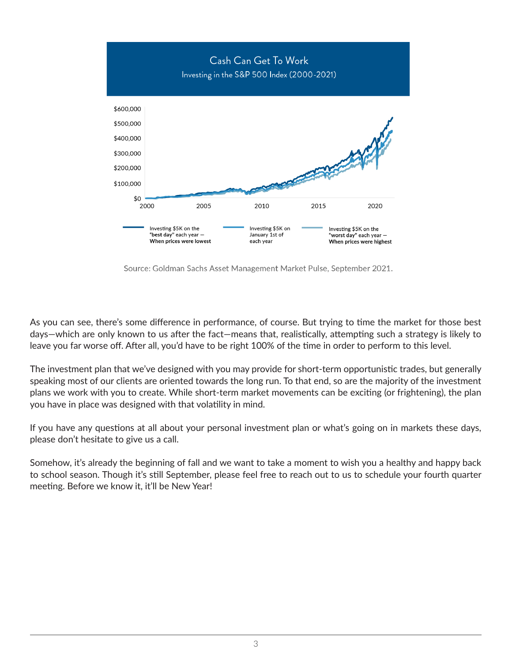

Source: Goldman Sachs Asset Management Market Pulse, September 2021.

As you can see, there's some difference in performance, of course. But trying to time the market for those best days—which are only known to us after the fact—means that, realistically, attempting such a strategy is likely to leave you far worse off. After all, you'd have to be right 100% of the time in order to perform to this level.

The investment plan that we've designed with you may provide for short-term opportunistic trades, but generally speaking most of our clients are oriented towards the long run. To that end, so are the majority of the investment plans we work with you to create. While short-term market movements can be exciting (or frightening), the plan you have in place was designed with that volatility in mind.

If you have any questions at all about your personal investment plan or what's going on in markets these days, please don't hesitate to give us a call.

Somehow, it's already the beginning of fall and we want to take a moment to wish you a healthy and happy back to school season. Though it's still September, please feel free to reach out to us to schedule your fourth quarter meeting. Before we know it, it'll be New Year!